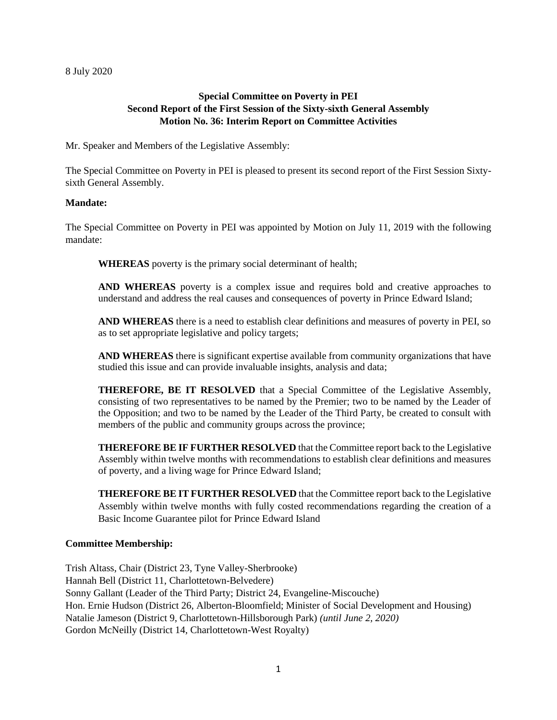## **Special Committee on Poverty in PEI Second Report of the First Session of the Sixty-sixth General Assembly Motion No. 36: Interim Report on Committee Activities**

Mr. Speaker and Members of the Legislative Assembly:

The Special Committee on Poverty in PEI is pleased to present its second report of the First Session Sixtysixth General Assembly.

#### **Mandate:**

The Special Committee on Poverty in PEI was appointed by Motion on July 11, 2019 with the following mandate:

**WHEREAS** poverty is the primary social determinant of health;

**AND WHEREAS** poverty is a complex issue and requires bold and creative approaches to understand and address the real causes and consequences of poverty in Prince Edward Island;

**AND WHEREAS** there is a need to establish clear definitions and measures of poverty in PEI, so as to set appropriate legislative and policy targets;

**AND WHEREAS** there is significant expertise available from community organizations that have studied this issue and can provide invaluable insights, analysis and data;

**THEREFORE, BE IT RESOLVED** that a Special Committee of the Legislative Assembly, consisting of two representatives to be named by the Premier; two to be named by the Leader of the Opposition; and two to be named by the Leader of the Third Party, be created to consult with members of the public and community groups across the province;

**THEREFORE BE IF FURTHER RESOLVED** that the Committee report back to the Legislative Assembly within twelve months with recommendations to establish clear definitions and measures of poverty, and a living wage for Prince Edward Island;

**THEREFORE BE IT FURTHER RESOLVED** that the Committee report back to the Legislative Assembly within twelve months with fully costed recommendations regarding the creation of a Basic Income Guarantee pilot for Prince Edward Island

#### **Committee Membership:**

Trish Altass, Chair (District 23, Tyne Valley-Sherbrooke) Hannah Bell (District 11, Charlottetown-Belvedere) Sonny Gallant (Leader of the Third Party; District 24, Evangeline-Miscouche) Hon. Ernie Hudson (District 26, Alberton-Bloomfield; Minister of Social Development and Housing) Natalie Jameson (District 9, Charlottetown-Hillsborough Park) *(until June 2, 2020)* Gordon McNeilly (District 14, Charlottetown-West Royalty)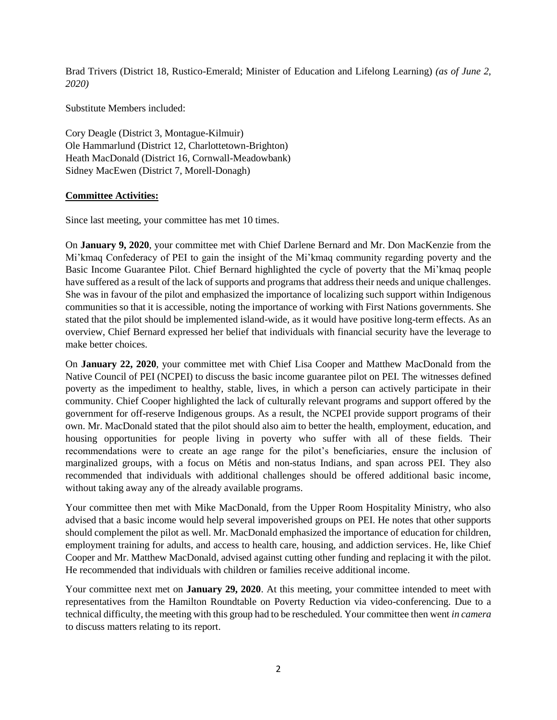Brad Trivers (District 18, Rustico-Emerald; Minister of Education and Lifelong Learning) *(as of June 2, 2020)*

Substitute Members included:

Cory Deagle (District 3, Montague-Kilmuir) Ole Hammarlund (District 12, Charlottetown-Brighton) Heath MacDonald (District 16, Cornwall-Meadowbank) Sidney MacEwen (District 7, Morell-Donagh)

#### **Committee Activities:**

Since last meeting, your committee has met 10 times.

On **January 9, 2020**, your committee met with Chief Darlene Bernard and Mr. Don MacKenzie from the Mi'kmaq Confederacy of PEI to gain the insight of the Mi'kmaq community regarding poverty and the Basic Income Guarantee Pilot. Chief Bernard highlighted the cycle of poverty that the Mi'kmaq people have suffered as a result of the lack of supports and programs that address their needs and unique challenges. She was in favour of the pilot and emphasized the importance of localizing such support within Indigenous communities so that it is accessible, noting the importance of working with First Nations governments. She stated that the pilot should be implemented island-wide, as it would have positive long-term effects. As an overview, Chief Bernard expressed her belief that individuals with financial security have the leverage to make better choices.

On **January 22, 2020**, your committee met with Chief Lisa Cooper and Matthew MacDonald from the Native Council of PEI (NCPEI) to discuss the basic income guarantee pilot on PEI. The witnesses defined poverty as the impediment to healthy, stable, lives, in which a person can actively participate in their community. Chief Cooper highlighted the lack of culturally relevant programs and support offered by the government for off-reserve Indigenous groups. As a result, the NCPEI provide support programs of their own. Mr. MacDonald stated that the pilot should also aim to better the health, employment, education, and housing opportunities for people living in poverty who suffer with all of these fields. Their recommendations were to create an age range for the pilot's beneficiaries, ensure the inclusion of marginalized groups, with a focus on Métis and non-status Indians, and span across PEI. They also recommended that individuals with additional challenges should be offered additional basic income, without taking away any of the already available programs.

Your committee then met with Mike MacDonald, from the Upper Room Hospitality Ministry, who also advised that a basic income would help several impoverished groups on PEI. He notes that other supports should complement the pilot as well. Mr. MacDonald emphasized the importance of education for children, employment training for adults, and access to health care, housing, and addiction services. He, like Chief Cooper and Mr. Matthew MacDonald, advised against cutting other funding and replacing it with the pilot. He recommended that individuals with children or families receive additional income.

Your committee next met on **January 29, 2020**. At this meeting, your committee intended to meet with representatives from the Hamilton Roundtable on Poverty Reduction via video-conferencing. Due to a technical difficulty, the meeting with this group had to be rescheduled. Your committee then went *in camera* to discuss matters relating to its report.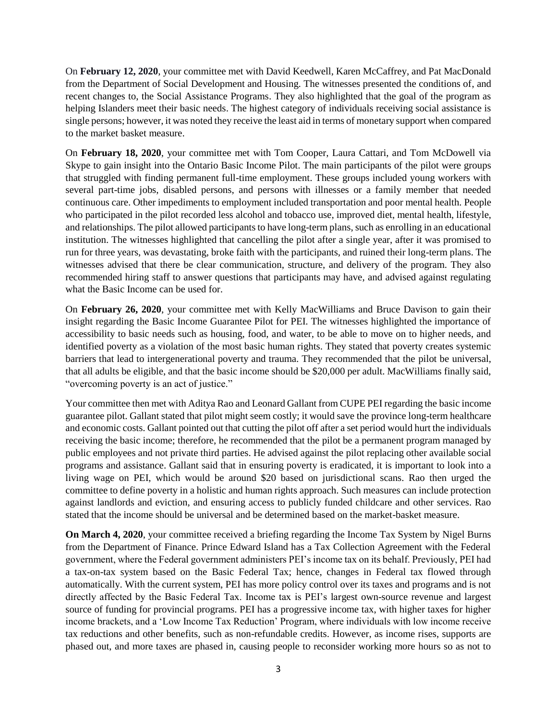On **February 12, 2020**, your committee met with David Keedwell, Karen McCaffrey, and Pat MacDonald from the Department of Social Development and Housing. The witnesses presented the conditions of, and recent changes to, the Social Assistance Programs. They also highlighted that the goal of the program as helping Islanders meet their basic needs. The highest category of individuals receiving social assistance is single persons; however, it was noted they receive the least aid in terms of monetary support when compared to the market basket measure.

On **February 18, 2020**, your committee met with Tom Cooper, Laura Cattari, and Tom McDowell via Skype to gain insight into the Ontario Basic Income Pilot. The main participants of the pilot were groups that struggled with finding permanent full-time employment. These groups included young workers with several part-time jobs, disabled persons, and persons with illnesses or a family member that needed continuous care. Other impediments to employment included transportation and poor mental health. People who participated in the pilot recorded less alcohol and tobacco use, improved diet, mental health, lifestyle, and relationships. The pilot allowed participants to have long-term plans, such as enrolling in an educational institution. The witnesses highlighted that cancelling the pilot after a single year, after it was promised to run for three years, was devastating, broke faith with the participants, and ruined their long-term plans. The witnesses advised that there be clear communication, structure, and delivery of the program. They also recommended hiring staff to answer questions that participants may have, and advised against regulating what the Basic Income can be used for.

On **February 26, 2020**, your committee met with Kelly MacWilliams and Bruce Davison to gain their insight regarding the Basic Income Guarantee Pilot for PEI. The witnesses highlighted the importance of accessibility to basic needs such as housing, food, and water, to be able to move on to higher needs, and identified poverty as a violation of the most basic human rights. They stated that poverty creates systemic barriers that lead to intergenerational poverty and trauma. They recommended that the pilot be universal, that all adults be eligible, and that the basic income should be \$20,000 per adult. MacWilliams finally said, "overcoming poverty is an act of justice."

Your committee then met with Aditya Rao and Leonard Gallant from CUPE PEI regarding the basic income guarantee pilot. Gallant stated that pilot might seem costly; it would save the province long-term healthcare and economic costs. Gallant pointed out that cutting the pilot off after a set period would hurt the individuals receiving the basic income; therefore, he recommended that the pilot be a permanent program managed by public employees and not private third parties. He advised against the pilot replacing other available social programs and assistance. Gallant said that in ensuring poverty is eradicated, it is important to look into a living wage on PEI, which would be around \$20 based on jurisdictional scans. Rao then urged the committee to define poverty in a holistic and human rights approach. Such measures can include protection against landlords and eviction, and ensuring access to publicly funded childcare and other services. Rao stated that the income should be universal and be determined based on the market-basket measure.

**On March 4, 2020**, your committee received a briefing regarding the Income Tax System by Nigel Burns from the Department of Finance. Prince Edward Island has a Tax Collection Agreement with the Federal government, where the Federal government administers PEI's income tax on its behalf. Previously, PEI had a tax-on-tax system based on the Basic Federal Tax; hence, changes in Federal tax flowed through automatically. With the current system, PEI has more policy control over its taxes and programs and is not directly affected by the Basic Federal Tax. Income tax is PEI's largest own-source revenue and largest source of funding for provincial programs. PEI has a progressive income tax, with higher taxes for higher income brackets, and a 'Low Income Tax Reduction' Program, where individuals with low income receive tax reductions and other benefits, such as non-refundable credits. However, as income rises, supports are phased out, and more taxes are phased in, causing people to reconsider working more hours so as not to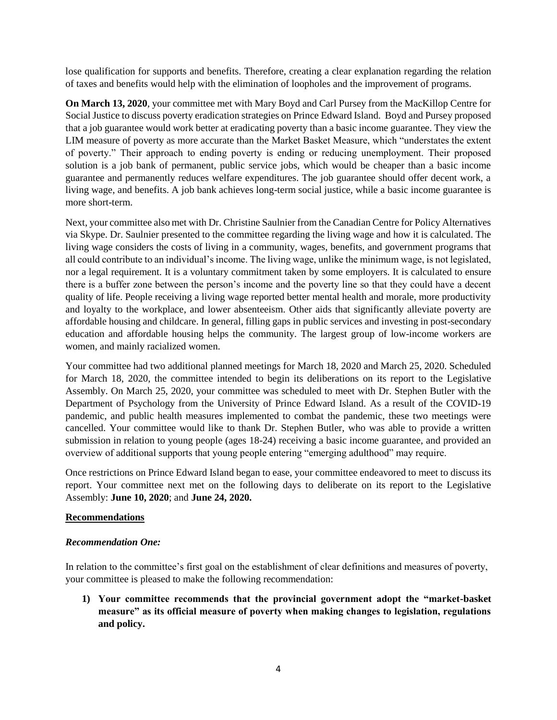lose qualification for supports and benefits. Therefore, creating a clear explanation regarding the relation of taxes and benefits would help with the elimination of loopholes and the improvement of programs.

**On March 13, 2020**, your committee met with Mary Boyd and Carl Pursey from the MacKillop Centre for Social Justice to discuss poverty eradication strategies on Prince Edward Island. Boyd and Pursey proposed that a job guarantee would work better at eradicating poverty than a basic income guarantee. They view the LIM measure of poverty as more accurate than the Market Basket Measure, which "understates the extent of poverty." Their approach to ending poverty is ending or reducing unemployment. Their proposed solution is a job bank of permanent, public service jobs, which would be cheaper than a basic income guarantee and permanently reduces welfare expenditures. The job guarantee should offer decent work, a living wage, and benefits. A job bank achieves long-term social justice, while a basic income guarantee is more short-term.

Next, your committee also met with Dr. Christine Saulnier from the Canadian Centre for Policy Alternatives via Skype. Dr. Saulnier presented to the committee regarding the living wage and how it is calculated. The living wage considers the costs of living in a community, wages, benefits, and government programs that all could contribute to an individual's income. The living wage, unlike the minimum wage, is not legislated, nor a legal requirement. It is a voluntary commitment taken by some employers. It is calculated to ensure there is a buffer zone between the person's income and the poverty line so that they could have a decent quality of life. People receiving a living wage reported better mental health and morale, more productivity and loyalty to the workplace, and lower absenteeism. Other aids that significantly alleviate poverty are affordable housing and childcare. In general, filling gaps in public services and investing in post-secondary education and affordable housing helps the community. The largest group of low-income workers are women, and mainly racialized women.

Your committee had two additional planned meetings for March 18, 2020 and March 25, 2020. Scheduled for March 18, 2020, the committee intended to begin its deliberations on its report to the Legislative Assembly. On March 25, 2020, your committee was scheduled to meet with Dr. Stephen Butler with the Department of Psychology from the University of Prince Edward Island. As a result of the COVID-19 pandemic, and public health measures implemented to combat the pandemic, these two meetings were cancelled. Your committee would like to thank Dr. Stephen Butler, who was able to provide a written submission in relation to young people (ages 18-24) receiving a basic income guarantee, and provided an overview of additional supports that young people entering "emerging adulthood" may require.

Once restrictions on Prince Edward Island began to ease, your committee endeavored to meet to discuss its report. Your committee next met on the following days to deliberate on its report to the Legislative Assembly: **June 10, 2020**; and **June 24, 2020.** 

### **Recommendations**

### *Recommendation One:*

In relation to the committee's first goal on the establishment of clear definitions and measures of poverty, your committee is pleased to make the following recommendation:

**1) Your committee recommends that the provincial government adopt the "market-basket measure" as its official measure of poverty when making changes to legislation, regulations and policy.**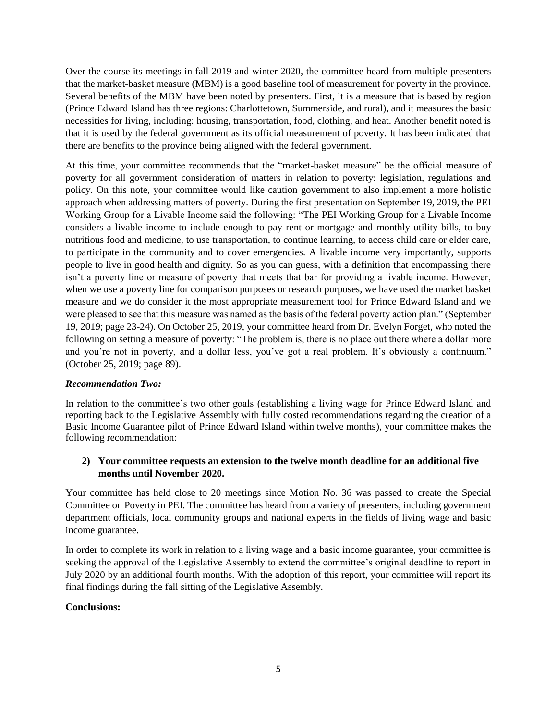Over the course its meetings in fall 2019 and winter 2020, the committee heard from multiple presenters that the market-basket measure (MBM) is a good baseline tool of measurement for poverty in the province. Several benefits of the MBM have been noted by presenters. First, it is a measure that is based by region (Prince Edward Island has three regions: Charlottetown, Summerside, and rural), and it measures the basic necessities for living, including: housing, transportation, food, clothing, and heat. Another benefit noted is that it is used by the federal government as its official measurement of poverty. It has been indicated that there are benefits to the province being aligned with the federal government.

At this time, your committee recommends that the "market-basket measure" be the official measure of poverty for all government consideration of matters in relation to poverty: legislation, regulations and policy. On this note, your committee would like caution government to also implement a more holistic approach when addressing matters of poverty. During the first presentation on September 19, 2019, the PEI Working Group for a Livable Income said the following: "The PEI Working Group for a Livable Income considers a livable income to include enough to pay rent or mortgage and monthly utility bills, to buy nutritious food and medicine, to use transportation, to continue learning, to access child care or elder care, to participate in the community and to cover emergencies. A livable income very importantly, supports people to live in good health and dignity. So as you can guess, with a definition that encompassing there isn't a poverty line or measure of poverty that meets that bar for providing a livable income. However, when we use a poverty line for comparison purposes or research purposes, we have used the market basket measure and we do consider it the most appropriate measurement tool for Prince Edward Island and we were pleased to see that this measure was named as the basis of the federal poverty action plan." (September 19, 2019; page 23-24). On October 25, 2019, your committee heard from Dr. Evelyn Forget, who noted the following on setting a measure of poverty: "The problem is, there is no place out there where a dollar more and you're not in poverty, and a dollar less, you've got a real problem. It's obviously a continuum." (October 25, 2019; page 89).

### *Recommendation Two:*

In relation to the committee's two other goals (establishing a living wage for Prince Edward Island and reporting back to the Legislative Assembly with fully costed recommendations regarding the creation of a Basic Income Guarantee pilot of Prince Edward Island within twelve months), your committee makes the following recommendation:

### **2) Your committee requests an extension to the twelve month deadline for an additional five months until November 2020.**

Your committee has held close to 20 meetings since Motion No. 36 was passed to create the Special Committee on Poverty in PEI. The committee has heard from a variety of presenters, including government department officials, local community groups and national experts in the fields of living wage and basic income guarantee.

In order to complete its work in relation to a living wage and a basic income guarantee, your committee is seeking the approval of the Legislative Assembly to extend the committee's original deadline to report in July 2020 by an additional fourth months. With the adoption of this report, your committee will report its final findings during the fall sitting of the Legislative Assembly.

## **Conclusions:**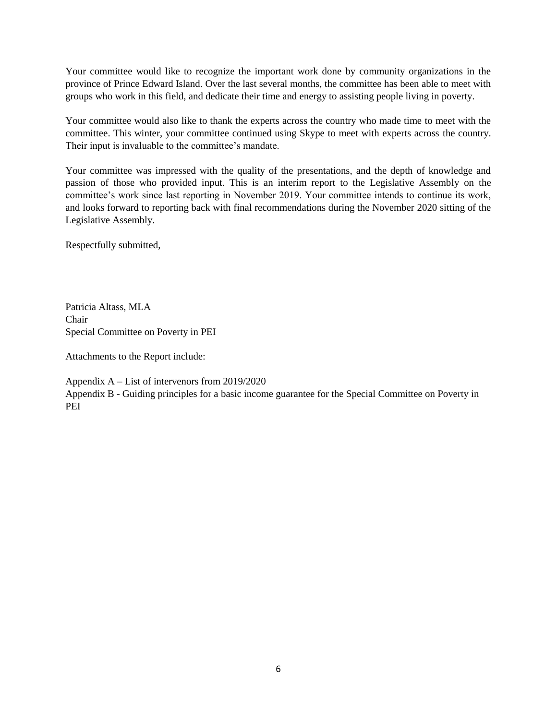Your committee would like to recognize the important work done by community organizations in the province of Prince Edward Island. Over the last several months, the committee has been able to meet with groups who work in this field, and dedicate their time and energy to assisting people living in poverty.

Your committee would also like to thank the experts across the country who made time to meet with the committee. This winter, your committee continued using Skype to meet with experts across the country. Their input is invaluable to the committee's mandate.

Your committee was impressed with the quality of the presentations, and the depth of knowledge and passion of those who provided input. This is an interim report to the Legislative Assembly on the committee's work since last reporting in November 2019. Your committee intends to continue its work, and looks forward to reporting back with final recommendations during the November 2020 sitting of the Legislative Assembly.

Respectfully submitted,

Patricia Altass, MLA Chair Special Committee on Poverty in PEI

Attachments to the Report include:

Appendix A – List of intervenors from 2019/2020 Appendix B - Guiding principles for a basic income guarantee for the Special Committee on Poverty in PEI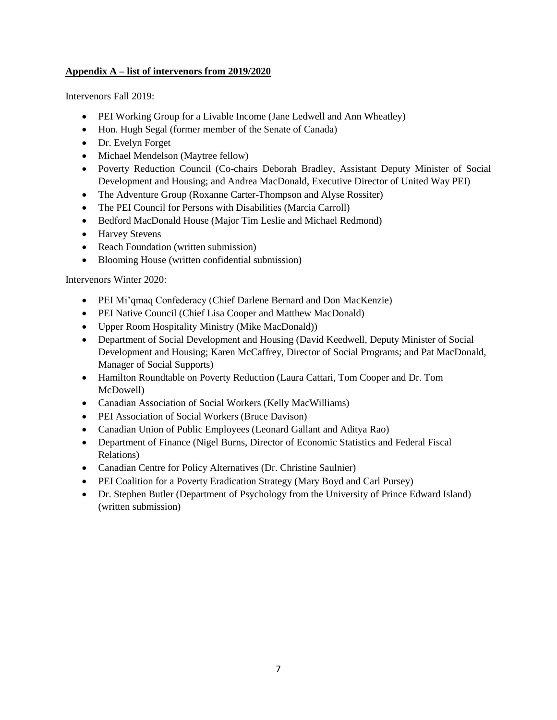### **Appendix A – list of intervenors from 2019/2020**

Intervenors Fall 2019:

- PEI Working Group for a Livable Income (Jane Ledwell and Ann Wheatley)
- Hon. Hugh Segal (former member of the Senate of Canada)
- Dr. Evelyn Forget
- Michael Mendelson (Maytree fellow)
- Poverty Reduction Council (Co-chairs Deborah Bradley, Assistant Deputy Minister of Social Development and Housing; and Andrea MacDonald, Executive Director of United Way PEI)
- The Adventure Group (Roxanne Carter-Thompson and Alyse Rossiter)
- The PEI Council for Persons with Disabilities (Marcia Carroll)
- Bedford MacDonald House (Major Tim Leslie and Michael Redmond)
- Harvey Stevens
- Reach Foundation (written submission)
- Blooming House (written confidential submission)

Intervenors Winter 2020:

- PEI Mi'qmaq Confederacy (Chief Darlene Bernard and Don MacKenzie)
- PEI Native Council (Chief Lisa Cooper and Matthew MacDonald)
- Upper Room Hospitality Ministry (Mike MacDonald))
- Department of Social Development and Housing (David Keedwell, Deputy Minister of Social Development and Housing; Karen McCaffrey, Director of Social Programs; and Pat MacDonald, Manager of Social Supports)
- Hamilton Roundtable on Poverty Reduction (Laura Cattari, Tom Cooper and Dr. Tom McDowell)
- Canadian Association of Social Workers (Kelly MacWilliams)
- PEI Association of Social Workers (Bruce Davison)
- Canadian Union of Public Employees (Leonard Gallant and Aditya Rao)
- Department of Finance (Nigel Burns, Director of Economic Statistics and Federal Fiscal Relations)
- Canadian Centre for Policy Alternatives (Dr. Christine Saulnier)
- PEI Coalition for a Poverty Eradication Strategy (Mary Boyd and Carl Pursey)
- Dr. Stephen Butler (Department of Psychology from the University of Prince Edward Island) (written submission)